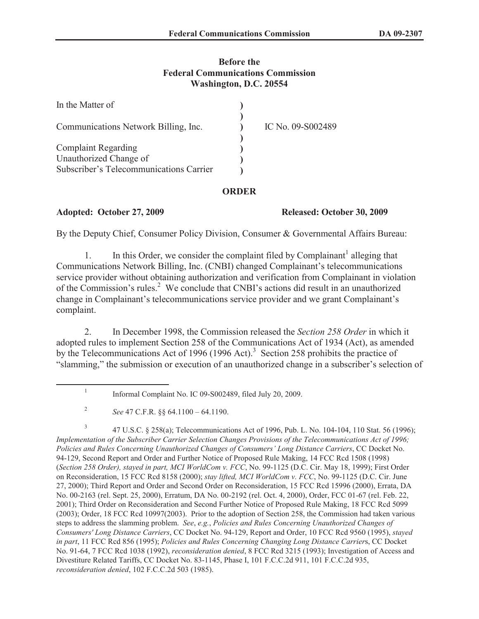## **Before the Federal Communications Commission Washington, D.C. 20554**

| In the Matter of                        |                   |
|-----------------------------------------|-------------------|
| Communications Network Billing, Inc.    | IC No. 09-S002489 |
| <b>Complaint Regarding</b>              |                   |
| Unauthorized Change of                  |                   |
| Subscriber's Telecommunications Carrier |                   |

## **ORDER**

## **Adopted: October 27, 2009 Released: October 30, 2009**

By the Deputy Chief, Consumer Policy Division, Consumer & Governmental Affairs Bureau:

1. In this Order, we consider the complaint filed by Complainant<sup>1</sup> alleging that Communications Network Billing, Inc. (CNBI) changed Complainant's telecommunications service provider without obtaining authorization and verification from Complainant in violation of the Commission's rules.<sup>2</sup> We conclude that CNBI's actions did result in an unauthorized change in Complainant's telecommunications service provider and we grant Complainant's complaint.

2. In December 1998, the Commission released the *Section 258 Order* in which it adopted rules to implement Section 258 of the Communications Act of 1934 (Act), as amended by the Telecommunications Act of 1996 (1996 Act).<sup>3</sup> Section 258 prohibits the practice of "slamming," the submission or execution of an unauthorized change in a subscriber's selection of

3 47 U.S.C. § 258(a); Telecommunications Act of 1996, Pub. L. No. 104-104, 110 Stat. 56 (1996); *Implementation of the Subscriber Carrier Selection Changes Provisions of the Telecommunications Act of 1996; Policies and Rules Concerning Unauthorized Changes of Consumers' Long Distance Carriers*, CC Docket No. 94-129, Second Report and Order and Further Notice of Proposed Rule Making, 14 FCC Rcd 1508 (1998) (*Section 258 Order), stayed in part, MCI WorldCom v. FCC*, No. 99-1125 (D.C. Cir. May 18, 1999); First Order on Reconsideration, 15 FCC Rcd 8158 (2000); *stay lifted, MCI WorldCom v. FCC*, No. 99-1125 (D.C. Cir. June 27, 2000); Third Report and Order and Second Order on Reconsideration, 15 FCC Rcd 15996 (2000), Errata, DA No. 00-2163 (rel. Sept. 25, 2000), Erratum, DA No. 00-2192 (rel. Oct. 4, 2000), Order, FCC 01-67 (rel. Feb. 22, 2001); Third Order on Reconsideration and Second Further Notice of Proposed Rule Making, 18 FCC Rcd 5099 (2003); Order, 18 FCC Rcd 10997(2003). Prior to the adoption of Section 258, the Commission had taken various steps to address the slamming problem. *See*, *e.g.*, *Policies and Rules Concerning Unauthorized Changes of Consumers' Long Distance Carriers*, CC Docket No. 94-129, Report and Order, 10 FCC Rcd 9560 (1995), *stayed in part*, 11 FCC Rcd 856 (1995); *Policies and Rules Concerning Changing Long Distance Carrier*s, CC Docket No. 91-64, 7 FCC Rcd 1038 (1992), *reconsideration denied*, 8 FCC Rcd 3215 (1993); Investigation of Access and Divestiture Related Tariffs, CC Docket No. 83-1145, Phase I, 101 F.C.C.2d 911, 101 F.C.C.2d 935, *reconsideration denied*, 102 F.C.C.2d 503 (1985).

<sup>1</sup> Informal Complaint No. IC 09-S002489, filed July 20, 2009.

<sup>2</sup> *See* 47 C.F.R. §§ 64.1100 – 64.1190.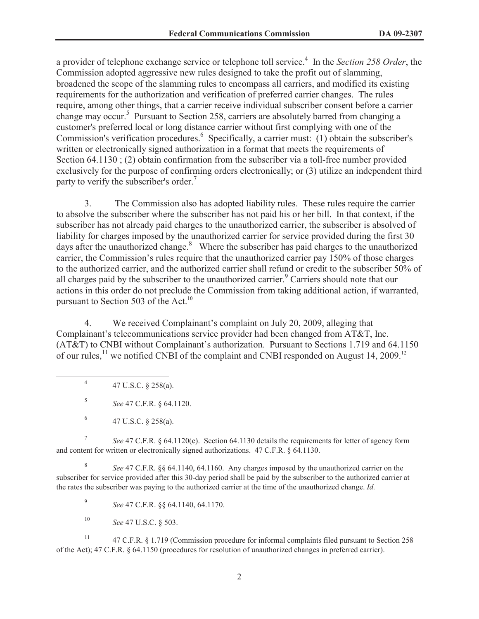a provider of telephone exchange service or telephone toll service.<sup>4</sup> In the *Section 258 Order*, the Commission adopted aggressive new rules designed to take the profit out of slamming, broadened the scope of the slamming rules to encompass all carriers, and modified its existing requirements for the authorization and verification of preferred carrier changes. The rules require, among other things, that a carrier receive individual subscriber consent before a carrier change may occur.<sup>5</sup> Pursuant to Section 258, carriers are absolutely barred from changing a customer's preferred local or long distance carrier without first complying with one of the Commission's verification procedures.<sup>6</sup> Specifically, a carrier must: (1) obtain the subscriber's written or electronically signed authorization in a format that meets the requirements of Section 64.1130 ; (2) obtain confirmation from the subscriber via a toll-free number provided exclusively for the purpose of confirming orders electronically; or (3) utilize an independent third party to verify the subscriber's order.<sup>7</sup>

3. The Commission also has adopted liability rules. These rules require the carrier to absolve the subscriber where the subscriber has not paid his or her bill. In that context, if the subscriber has not already paid charges to the unauthorized carrier, the subscriber is absolved of liability for charges imposed by the unauthorized carrier for service provided during the first 30 days after the unauthorized change. $8\text{ }$  Where the subscriber has paid charges to the unauthorized carrier, the Commission's rules require that the unauthorized carrier pay 150% of those charges to the authorized carrier, and the authorized carrier shall refund or credit to the subscriber 50% of all charges paid by the subscriber to the unauthorized carrier.<sup>9</sup> Carriers should note that our actions in this order do not preclude the Commission from taking additional action, if warranted, pursuant to Section 503 of the Act.<sup>10</sup>

4. We received Complainant's complaint on July 20, 2009, alleging that Complainant's telecommunications service provider had been changed from AT&T, Inc. (AT&T) to CNBI without Complainant's authorization. Pursuant to Sections 1.719 and 64.1150 of our rules, <sup>11</sup> we notified CNBI of the complaint and CNBI responded on August 14, 2009.<sup>12</sup>

4 47 U.S.C. § 258(a).

5 *See* 47 C.F.R. § 64.1120.

7 *See* 47 C.F.R. § 64.1120(c). Section 64.1130 details the requirements for letter of agency form and content for written or electronically signed authorizations. 47 C.F.R. § 64.1130.

8 *See* 47 C.F.R. §§ 64.1140, 64.1160. Any charges imposed by the unauthorized carrier on the subscriber for service provided after this 30-day period shall be paid by the subscriber to the authorized carrier at the rates the subscriber was paying to the authorized carrier at the time of the unauthorized change. *Id.*

9 *See* 47 C.F.R. §§ 64.1140, 64.1170.

<sup>10</sup> *See* 47 U.S.C. § 503.

<sup>11</sup> 47 C.F.R. § 1.719 (Commission procedure for informal complaints filed pursuant to Section 258 of the Act); 47 C.F.R. § 64.1150 (procedures for resolution of unauthorized changes in preferred carrier).

<sup>6</sup> 47 U.S.C. § 258(a).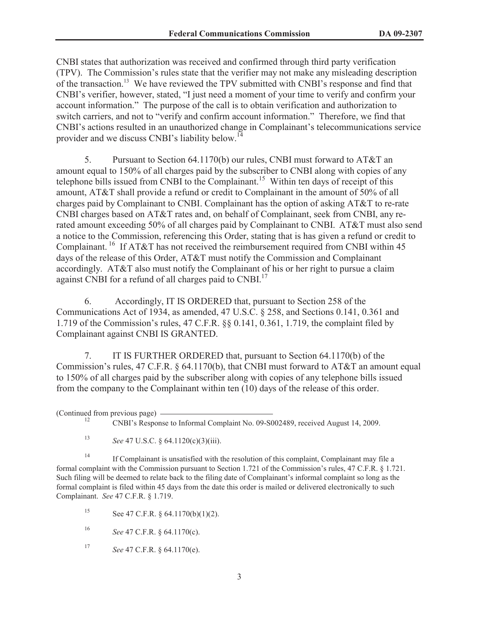CNBI states that authorization was received and confirmed through third party verification (TPV). The Commission's rules state that the verifier may not make any misleading description of the transaction.<sup>13</sup> We have reviewed the TPV submitted with CNBI's response and find that CNBI's verifier, however, stated, "I just need a moment of your time to verify and confirm your account information." The purpose of the call is to obtain verification and authorization to switch carriers, and not to "verify and confirm account information." Therefore, we find that CNBI's actions resulted in an unauthorized change in Complainant's telecommunications service provider and we discuss CNBI's liability below.<sup>14</sup>

5. Pursuant to Section 64.1170(b) our rules, CNBI must forward to AT&T an amount equal to 150% of all charges paid by the subscriber to CNBI along with copies of any telephone bills issued from CNBI to the Complainant.<sup>15</sup> Within ten days of receipt of this amount, AT&T shall provide a refund or credit to Complainant in the amount of 50% of all charges paid by Complainant to CNBI. Complainant has the option of asking AT&T to re-rate CNBI charges based on AT&T rates and, on behalf of Complainant, seek from CNBI, any rerated amount exceeding 50% of all charges paid by Complainant to CNBI. AT&T must also send a notice to the Commission, referencing this Order, stating that is has given a refund or credit to Complainant.<sup>16</sup> If AT&T has not received the reimbursement required from CNBI within 45 days of the release of this Order, AT&T must notify the Commission and Complainant accordingly. AT&T also must notify the Complainant of his or her right to pursue a claim against CNBI for a refund of all charges paid to CNBI.<sup>17</sup>

6. Accordingly, IT IS ORDERED that, pursuant to Section 258 of the Communications Act of 1934, as amended, 47 U.S.C. § 258, and Sections 0.141, 0.361 and 1.719 of the Commission's rules, 47 C.F.R. §§ 0.141, 0.361, 1.719, the complaint filed by Complainant against CNBI IS GRANTED.

7. IT IS FURTHER ORDERED that, pursuant to Section 64.1170(b) of the Commission's rules, 47 C.F.R.  $\& 64.1170(b)$ , that CNBI must forward to AT&T an amount equal to 150% of all charges paid by the subscriber along with copies of any telephone bills issued from the company to the Complainant within ten (10) days of the release of this order.

(Continued from previous page)

<sup>13</sup> *See* 47 U.S.C. § 64.1120(c)(3)(iii).

<sup>14</sup> If Complainant is unsatisfied with the resolution of this complaint, Complainant may file a formal complaint with the Commission pursuant to Section 1.721 of the Commission's rules, 47 C.F.R. § 1.721. Such filing will be deemed to relate back to the filing date of Complainant's informal complaint so long as the formal complaint is filed within 45 days from the date this order is mailed or delivered electronically to such Complainant. *See* 47 C.F.R. § 1.719.

15 See 47 C.F.R.  $\S$  64.1170(b)(1)(2).

<sup>16</sup> *See* 47 C.F.R. § 64.1170(c).

<sup>17</sup> *See* 47 C.F.R. § 64.1170(e).

<sup>12</sup> CNBI's Response to Informal Complaint No. 09-S002489, received August 14, 2009.